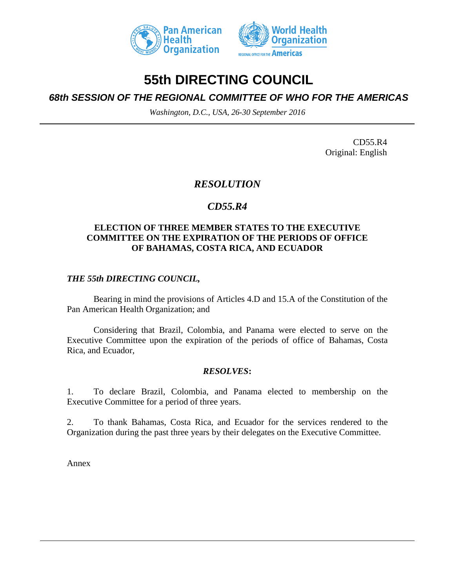



# **55th DIRECTING COUNCIL**

## *68th SESSION OF THE REGIONAL COMMITTEE OF WHO FOR THE AMERICAS*

*Washington, D.C., USA, 26-30 September 2016*

CD55.R4 Original: English

## *RESOLUTION*

## *CD55.R4*

#### **ELECTION OF THREE MEMBER STATES TO THE EXECUTIVE COMMITTEE ON THE EXPIRATION OF THE PERIODS OF OFFICE OF BAHAMAS, COSTA RICA, AND ECUADOR**

### *THE 55th DIRECTING COUNCIL,*

Bearing in mind the provisions of Articles 4.D and 15.A of the Constitution of the Pan American Health Organization; and

Considering that Brazil, Colombia, and Panama were elected to serve on the Executive Committee upon the expiration of the periods of office of Bahamas, Costa Rica, and Ecuador,

#### *RESOLVES***:**

1. To declare Brazil, Colombia, and Panama elected to membership on the Executive Committee for a period of three years.

2. To thank Bahamas, Costa Rica, and Ecuador for the services rendered to the Organization during the past three years by their delegates on the Executive Committee.

Annex